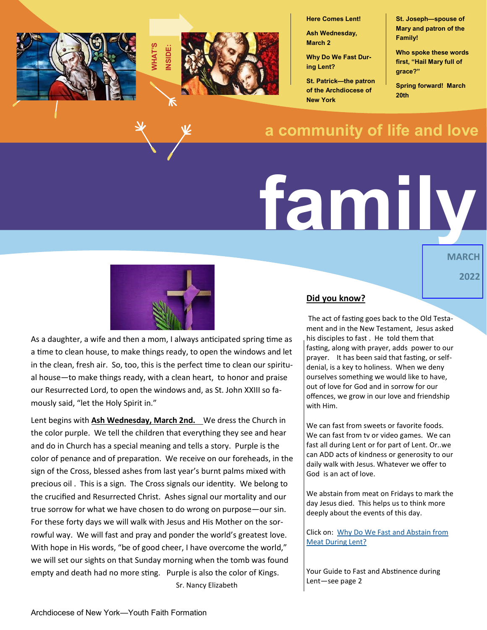

**Here Comes Lent!** 

**Ash Wednesday, March 2**

**Why Do We Fast During Lent?**

**St. Patrick—the patron of the Archdiocese of New York**

**St. Joseph—spouse of Mary and patron of the Family!**

**Who spoke these words first, "Hail Mary full of grace?"**

**Spring forward! March 20th**

# **a community of life and love**

# **family**

**MARCH 2022**



As a daughter, a wife and then a mom, I always anticipated spring time as a time to clean house, to make things ready, to open the windows and let in the clean, fresh air. So, too, this is the perfect time to clean our spiritual house—to make things ready, with a clean heart, to honor and praise our Resurrected Lord, to open the windows and, as St. John XXIII so famously said, "let the Holy Spirit in."

Lent begins with **Ash Wednesday, March 2nd.** We dress the Church in the color purple. We tell the children that everything they see and hear and do in Church has a special meaning and tells a story. Purple is the color of penance and of preparation. We receive on our foreheads, in the sign of the Cross, blessed ashes from last year's burnt palms mixed with precious oil . This is a sign. The Cross signals our identity. We belong to the crucified and Resurrected Christ. Ashes signal our mortality and our true sorrow for what we have chosen to do wrong on purpose—our sin. For these forty days we will walk with Jesus and His Mother on the sorrowful way. We will fast and pray and ponder the world's greatest love. With hope in His words, "be of good cheer, I have overcome the world," we will set our sights on that Sunday morning when the tomb was found empty and death had no more sting. Purple is also the color of Kings. Sr. Nancy Elizabeth

#### **Did you know?**

The act of fasting goes back to the Old Testament and in the New Testament, Jesus asked his disciples to fast . He told them that fasting, along with prayer, adds power to our prayer. It has been said that fasting, or selfdenial, is a key to holiness. When we deny ourselves something we would like to have, out of love for God and in sorrow for our offences, we grow in our love and friendship with Him.

We can fast from sweets or favorite foods. We can fast from tv or video games. We can fast all during Lent or for part of Lent. Or..we can ADD acts of kindness or generosity to our daily walk with Jesus. Whatever we offer to God is an act of love.

We abstain from meat on Fridays to mark the day Jesus died. This helps us to think more deeply about the events of this day.

Click on: [Why Do We Fast and Abstain from](https://www.catholic.com/qa/why-do-catholics-practice-fasting-and-abstinence-during-lent)  [Meat During Lent?](https://www.catholic.com/qa/why-do-catholics-practice-fasting-and-abstinence-during-lent) 

Your Guide to Fast and Abstinence during Lent—see page 2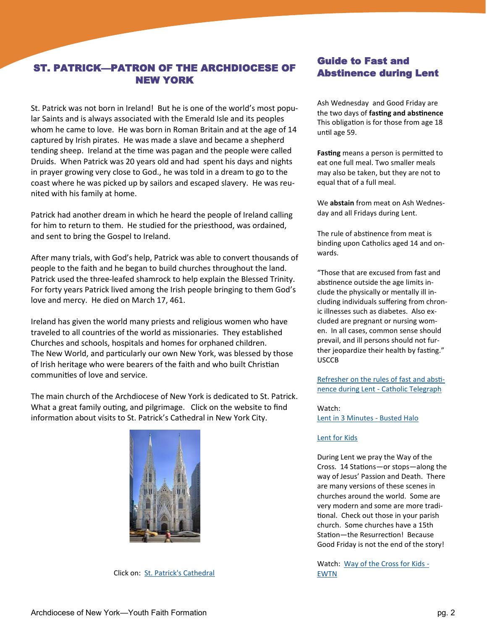## ST. PATRICK—PATRON OF THE ARCHDIOCESE OF NEW YORK

St. Patrick was not born in Ireland! But he is one of the world's most popular Saints and is always associated with the Emerald Isle and its peoples whom he came to love. He was born in Roman Britain and at the age of 14 captured by Irish pirates. He was made a slave and became a shepherd tending sheep. Ireland at the time was pagan and the people were called Druids. When Patrick was 20 years old and had spent his days and nights in prayer growing very close to God., he was told in a dream to go to the coast where he was picked up by sailors and escaped slavery. He was reunited with his family at home.

Patrick had another dream in which he heard the people of Ireland calling for him to return to them. He studied for the priesthood, was ordained, and sent to bring the Gospel to Ireland.

After many trials, with God's help, Patrick was able to convert thousands of people to the faith and he began to build churches throughout the land. Patrick used the three-leafed shamrock to help explain the Blessed Trinity. For forty years Patrick lived among the Irish people bringing to them God's love and mercy. He died on March 17, 461.

Ireland has given the world many priests and religious women who have traveled to all countries of the world as missionaries. They established Churches and schools, hospitals and homes for orphaned children. The New World, and particularly our own New York, was blessed by those of Irish heritage who were bearers of the faith and who built Christian communities of love and service.

The main church of the Archdiocese of New York is dedicated to St. Patrick. What a great family outing, and pilgrimage. Click on the website to find information about visits to St. Patrick's Cathedral in New York City.



Click on: [St. Patrick's Cathedral](https://saintpatrickscathedral.org/)

### Guide to Fast and Abstinence during Lent

Ash Wednesday and Good Friday are the two days of **fasting and abstinence**  This obligation is for those from age 18 until age 59.

**Fasting** means a person is permitted to eat one full meal. Two smaller meals may also be taken, but they are not to equal that of a full meal.

We **abstain** from meat on Ash Wednesday and all Fridays during Lent.

The rule of abstinence from meat is binding upon Catholics aged 14 and onwards.

"Those that are excused from fast and abstinence outside the age limits include the physically or mentally ill including individuals suffering from chronic illnesses such as diabetes. Also excluded are pregnant or nursing women. In all cases, common sense should prevail, and ill persons should not further jeopardize their health by fasting." USCCB

[Refresher on the rules of fast and absti](https://www.thecatholictelegraph.com/refresher-on-the-rules-of-fast-and-abstinence-during-lent/21603)nence during Lent - [Catholic Telegraph](https://www.thecatholictelegraph.com/refresher-on-the-rules-of-fast-and-abstinence-during-lent/21603)

Watch: [Lent in 3 Minutes](https://www.youtube.com/watch?v=Xo1mjuy1NA0) - Busted Halo

#### [Lent for Kids](https://www.youtube.com/watch?v=xKjEDrvkHUg)

During Lent we pray the Way of the Cross. 14 Stations—or stops—along the way of Jesus' Passion and Death. There are many versions of these scenes in churches around the world. Some are very modern and some are more traditional. Check out those in your parish church. Some churches have a 15th Station—the Resurrection! Because Good Friday is not the end of the story!

Watch: [Way of the Cross for Kids](https://www.youtube.com/watch?v=KoQR30np5us) -[EWTN](https://www.youtube.com/watch?v=KoQR30np5us)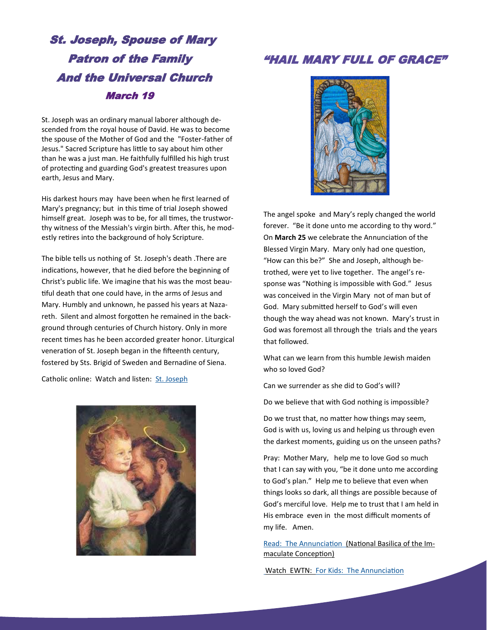# St. Joseph, Spouse of Mary Patron of the Family And the Universal Church March 19

St. Joseph was an ordinary manual laborer although descended from the royal house of David. He was to become the spouse of the Mother of God and the "Foster-father of Jesus." Sacred Scripture has little to say about him other than he was a just man. He faithfully fulfilled his high trust of protecting and guarding God's greatest treasures upon earth, Jesus and Mary.

His darkest hours may have been when he first learned of Mary's pregnancy; but in this time of trial Joseph showed himself great. Joseph was to be, for all times, the trustworthy witness of the Messiah's virgin birth. After this, he modestly retires into the background of holy Scripture.

The bible tells us nothing of St. Joseph's death .There are indications, however, that he died before the beginning of Christ's public life. We imagine that his was the most beautiful death that one could have, in the arms of Jesus and Mary. Humbly and unknown, he passed his years at Nazareth. Silent and almost forgotten he remained in the background through centuries of Church history. Only in more recent times has he been accorded greater honor. Liturgical veneration of St. Joseph began in the fifteenth century, fostered by Sts. Brigid of Sweden and Bernadine of Siena.

Catholic online: Watch and listen: [St. Joseph](https://www.youtube.com/watch?v=E8FAcs6lh_A&list=PL58g24NgWPIzvBk2IQVES_xC4WTm6-CDI)



## "HAIL MARY FULL OF GRACE"



The angel spoke and Mary's reply changed the world forever. "Be it done unto me according to thy word." On **March 25** we celebrate the Annunciation of the Blessed Virgin Mary. Mary only had one question, "How can this be?" She and Joseph, although betrothed, were yet to live together. The angel's response was "Nothing is impossible with God." Jesus was conceived in the Virgin Mary not of man but of God. Mary submitted herself to God's will even though the way ahead was not known. Mary's trust in God was foremost all through the trials and the years that followed.

What can we learn from this humble Jewish maiden who so loved God?

Can we surrender as she did to God's will?

Do we believe that with God nothing is impossible?

Do we trust that, no matter how things may seem, God is with us, loving us and helping us through even the darkest moments, guiding us on the unseen paths?

Pray: Mother Mary, help me to love God so much that I can say with you, "be it done unto me according to God's plan." Help me to believe that even when things looks so dark, all things are possible because of God's merciful love. Help me to trust that I am held in His embrace even in the most difficult moments of my life. Amen.

[Read: The Annunciation](https://www.nationalshrine.org/blog/mary-the-handmaid-of-the-lord-the-solemnity-of-the-annunciation/) (National Basilica of the Immaculate Conception)

[Watch EWTN: For Kids: The Annunciation](https://www.youtube.com/watch?v=WWBbB8vcx98)